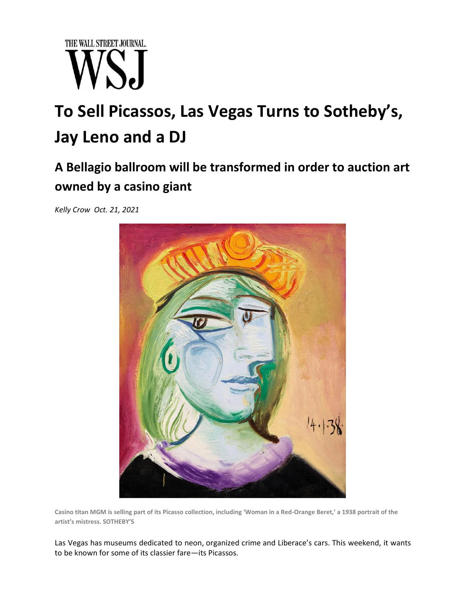

## **To Sell Picassos, Las Vegas Turns to Sotheby's, Jay Leno and a DJ**

## **A Bellagio ballroom will be transformed in order to auction art owned by a casino giant**

*Kelly Crow Oct. 21, 2021*



**Casino titan MGM is selling part of its Picasso collection, including 'Woman in a Red-Orange Beret,' a 1938 portrait of the artist's mistress. SOTHEBY'S**

Las Vegas has [museums dedicated to neon,](https://www.wsj.com/articles/the-less-flashy-infinitely-cooler-side-of-las-vegas-1477597527?mod=article_inline) [organized crime](https://www.wsj.com/articles/gangsters-paradise-1524520104?mod=article_inline) and Liberace's cars. This weekend, it wants to be known for some of its classier fare—[its Picassos.](https://www.wsj.com/articles/sothebys-to-auction-11-picasso-paintings-with-links-to-steve-wynn-at-the-bellagio-11628686800?mod=article_inline)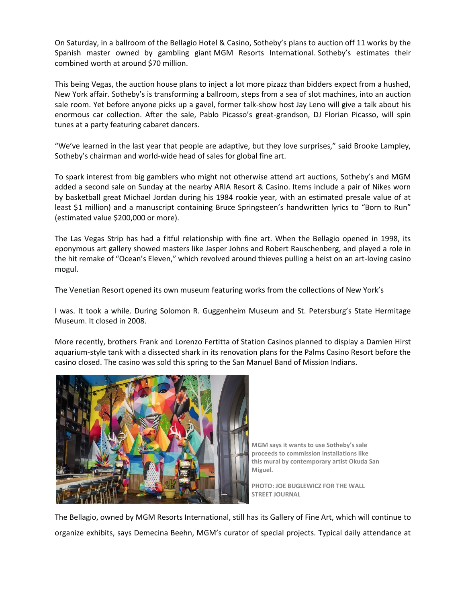On Saturday, in a ballroom of the Bellagio Hotel & Casino, Sotheby's plans to auction off 11 works by the Spanish master owned by gambling giant [MGM Resorts International.](https://www.wsj.com/market-data/quotes/MGM) Sotheby's estimates their combined worth at around \$70 million.

This being Vegas, the auction house plans to inject a lot more pizazz than bidders expect from a hushed, New York affair. Sotheby's is transforming a ballroom, steps from a sea of slot machines, into an auction sale room. Yet before anyone picks up a gavel, former talk-show host Jay Leno will give a talk about his enormous car collection. After the sale, Pablo Picasso's great-grandson, DJ Florian Picasso, will spin tunes at a party featuring cabaret dancers.

"We've learned in the last year that people are adaptive, but they love surprises," said Brooke Lampley, Sotheby's chairman and world-wide head of sales for global fine art.

To spark interest from big gamblers who might not otherwise attend art auctions, Sotheby's and MGM added a second sale on Sunday at the nearby ARIA Resort & Casino. Items include a pair of Nikes worn by basketball great Michael Jordan during his 1984 rookie year, with an estimated presale value of at least \$1 million) and a manuscript containing Bruce Springsteen's handwritten lyrics to "Born to Run" (estimated value \$200,000 or more).

The Las Vegas Strip has had a fitful relationship with fine art. When the Bellagio opened in 1998, its eponymous art gallery showed masters like Jasper Johns and Robert Rauschenberg, and played a role in the hit remake of "Ocean's Eleven," which revolved around thieves pulling a heist on an art-loving casino mogul.

The Venetian Resort opened its own museum featuring works from the collections of New York's

I was. It took a while. During Solomon R. Guggenheim Museum and St. Petersburg's State Hermitage Museum. It closed in 2008.

More recently, brothers Frank and Lorenzo Fertitta of [Station Casinos](https://www.wsj.com/market-data/quotes/RRR) planned to display a Damien Hirst aquarium-style tank with a dissected shark in its renovation plans for the Palms Casino Resort before the casino closed. The casino was sold this spring to the San Manuel Band of Mission Indians.



**MGM says it wants to use Sotheby's sale proceeds to commission installations like this mural by contemporary artist Okuda San Miguel.**

**PHOTO: JOE BUGLEWICZ FOR THE WALL STREET JOURNAL**

The Bellagio, owned by MGM Resorts International, still has its Gallery of Fine Art, which will continue to organize exhibits, says Demecina Beehn, MGM's curator of special projects. Typical daily attendance at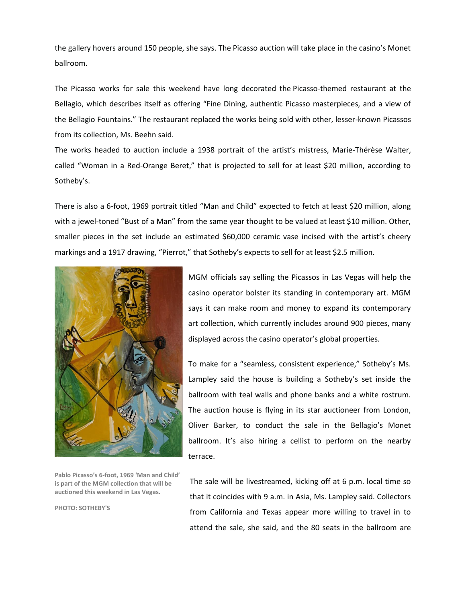the gallery hovers around 150 people, she says. The Picasso auction will take place in the casino's Monet ballroom.

The Picasso works for sale this weekend have long decorated the [Picasso-themed restaurant at the](https://bellagio.mgmresorts.com/en/restaurants/picasso.html)  [Bellagio](https://bellagio.mgmresorts.com/en/restaurants/picasso.html), which describes itself as offering "Fine Dining, authentic Picasso masterpieces, and a view of the Bellagio Fountains." The restaurant replaced the works being sold with other, lesser-known Picassos from its collection, Ms. Beehn said.

The works headed to auction include a 1938 portrait of the artist's mistress, Marie-Thérèse Walter, called "Woman in a Red-Orange Beret," that is projected to sell for at least \$20 million, according to Sotheby's.

There is also a 6-foot, 1969 portrait titled "Man and Child" expected to fetch at least \$20 million, along with a jewel-toned "Bust of a Man" from the same year thought to be valued at least \$10 million. Other, smaller pieces in the set include an estimated \$60,000 ceramic vase incised with the artist's cheery markings and a 1917 drawing, "Pierrot," that Sotheby's expects to sell for at least \$2.5 million.



**Pablo Picasso's 6-foot, 1969 'Man and Child' is part of the MGM collection that will be auctioned this weekend in Las Vegas.**

**PHOTO: SOTHEBY'S**

MGM officials say selling the Picassos in Las Vegas will help the casino operator bolster its standing in contemporary art. MGM says it can make room and money to expand its contemporary art collection, which currently includes around 900 pieces, many displayed across the casino operator's global properties.

To make for a "seamless, consistent experience," Sotheby's Ms. Lampley said the house is building a Sotheby's set inside the ballroom with teal walls and phone banks and a white rostrum. The auction house is flying in its star auctioneer from London, Oliver Barker, to conduct the sale in the Bellagio's Monet ballroom. It's also hiring a cellist to perform on the nearby terrace.

The sale will be livestreamed, kicking off at 6 p.m. local time so that it coincides with 9 a.m. in Asia, Ms. Lampley said. Collectors from California and Texas appear more willing to travel in to attend the sale, she said, and the 80 seats in the ballroom are